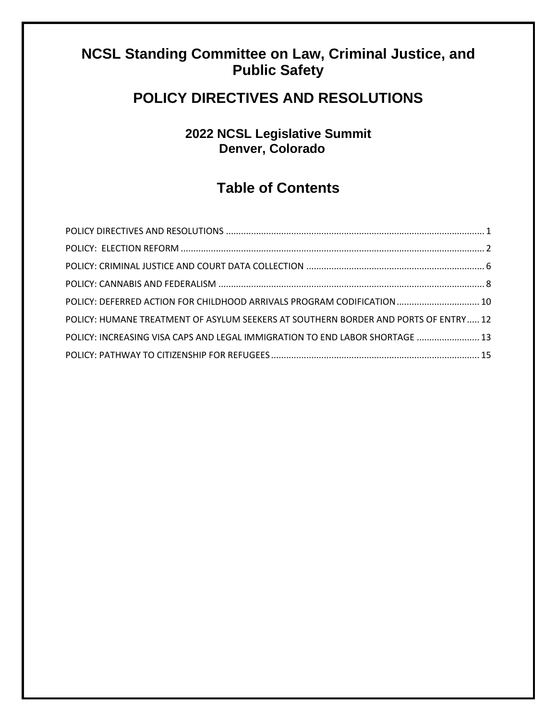# <span id="page-0-0"></span>**NCSL Standing Committee on Law, Criminal Justice, and Public Safety**

# **POLICY DIRECTIVES AND RESOLUTIONS**

### **2022 NCSL Legislative Summit Denver, Colorado**

# **Table of Contents**

<span id="page-0-1"></span>

| POLICY: DEFERRED ACTION FOR CHILDHOOD ARRIVALS PROGRAM CODIFICATION 10              |  |
|-------------------------------------------------------------------------------------|--|
| POLICY: HUMANE TREATMENT OF ASYLUM SEEKERS AT SOUTHERN BORDER AND PORTS OF ENTRY 12 |  |
| POLICY: INCREASING VISA CAPS AND LEGAL IMMIGRATION TO END LABOR SHORTAGE  13        |  |
|                                                                                     |  |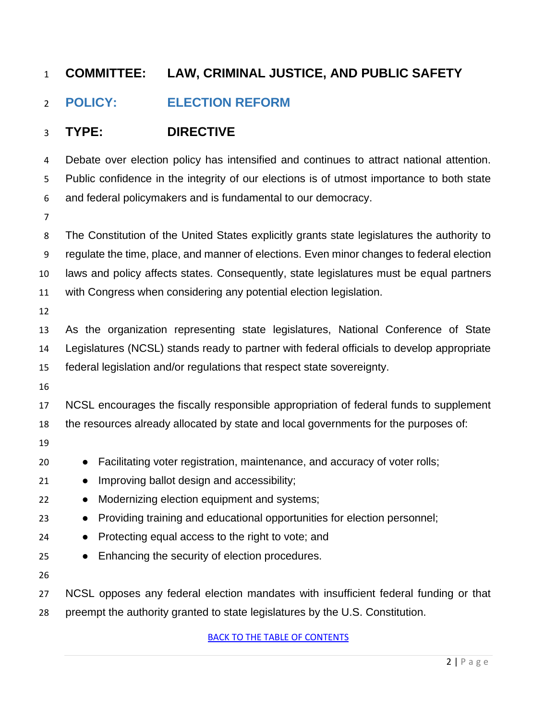#### <span id="page-1-0"></span>**POLICY: ELECTION REFORM**

#### **TYPE: DIRECTIVE**

 Debate over election policy has intensified and continues to attract national attention. Public confidence in the integrity of our elections is of utmost importance to both state and federal policymakers and is fundamental to our democracy.

 The Constitution of the United States explicitly grants state legislatures the authority to regulate the time, place, and manner of elections. Even minor changes to federal election laws and policy affects states. Consequently, state legislatures must be equal partners with Congress when considering any potential election legislation.

 As the organization representing state legislatures, National Conference of State Legislatures (NCSL) stands ready to partner with federal officials to develop appropriate federal legislation and/or regulations that respect state sovereignty.

 NCSL encourages the fiscally responsible appropriation of federal funds to supplement the resources already allocated by state and local governments for the purposes of:

- 
- 20 Facilitating voter registration, maintenance, and accuracy of voter rolls;
- 21 Improving ballot design and accessibility;
- 22 Modernizing election equipment and systems;
- Providing training and educational opportunities for election personnel;
- Protecting equal access to the right to vote; and
- Enhancing the security of election procedures.

 NCSL opposes any federal election mandates with insufficient federal funding or that preempt the authority granted to state legislatures by the U.S. Constitution.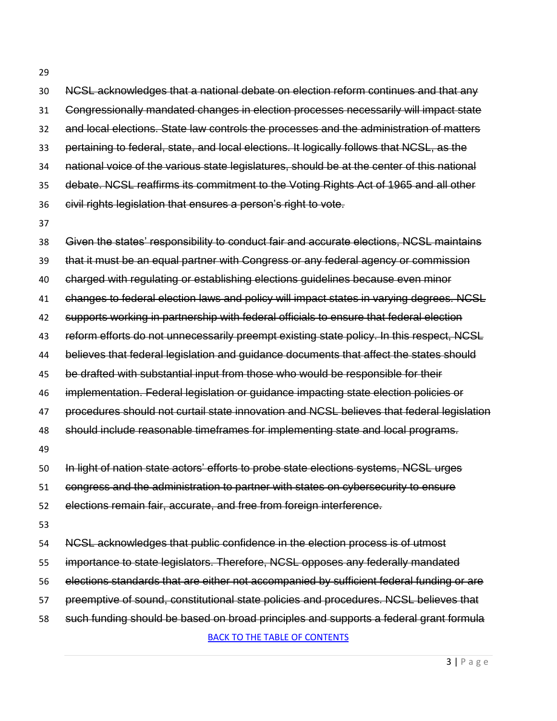[BACK TO THE TABLE OF CONTENTS](#page-0-1) Congressionally mandated changes in election processes necessarily will impact state and local elections. State law controls the processes and the administration of matters pertaining to federal, state, and local elections. It logically follows that NCSL, as the national voice of the various state legislatures, should be at the center of this national debate. NCSL reaffirms its commitment to the Voting Rights Act of 1965 and all other civil rights legislation that ensures a person's right to vote. Given the states' responsibility to conduct fair and accurate elections, NCSL maintains that it must be an equal partner with Congress or any federal agency or commission charged with regulating or establishing elections guidelines because even minor 41 changes to federal election laws and policy will impact states in varying degrees. NCSL 42 supports working in partnership with federal officials to ensure that federal election 43 reform efforts do not unnecessarily preempt existing state policy. In this respect, NCSL believes that federal legislation and guidance documents that affect the states should be drafted with substantial input from those who would be responsible for their implementation. Federal legislation or guidance impacting state election policies or procedures should not curtail state innovation and NCSL believes that federal legislation should include reasonable timeframes for implementing state and local programs. In light of nation state actors' efforts to probe state elections systems, NCSL urges congress and the administration to partner with states on cybersecurity to ensure elections remain fair, accurate, and free from foreign interference. NCSL acknowledges that public confidence in the election process is of utmost importance to state legislators. Therefore, NCSL opposes any federally mandated elections standards that are either not accompanied by sufficient federal funding or are preemptive of sound, constitutional state policies and procedures. NCSL believes that such funding should be based on broad principles and supports a federal grant formula

NCSL acknowledges that a national debate on election reform continues and that any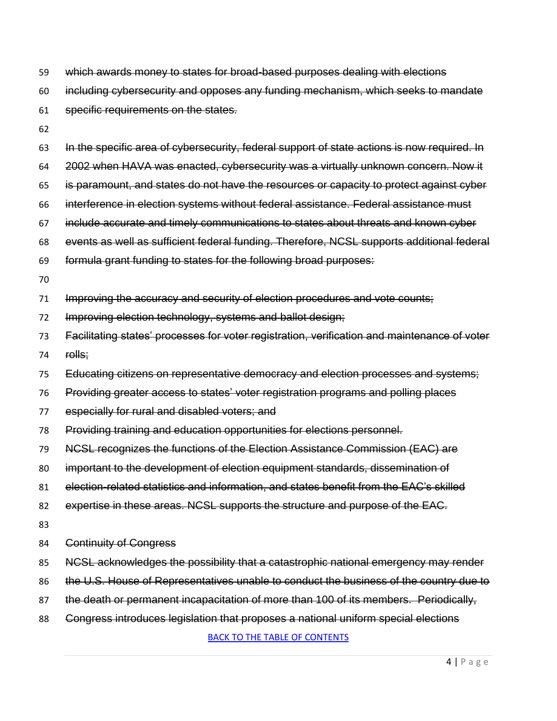- which awards money to states for broad-based purposes dealing with elections
- including cybersecurity and opposes any funding mechanism, which seeks to mandate
- specific requirements on the states.
- 
- In the specific area of cybersecurity, federal support of state actions is now required. In
- 2002 when HAVA was enacted, cybersecurity was a virtually unknown concern. Now it
- is paramount, and states do not have the resources or capacity to protect against cyber
- interference in election systems without federal assistance. Federal assistance must
- include accurate and timely communications to states about threats and known cyber
- events as well as sufficient federal funding. Therefore, NCSL supports additional federal
- formula grant funding to states for the following broad purposes:
- 
- 71 Improving the accuracy and security of election procedures and vote counts;
- Improving election technology, systems and ballot design;
- Facilitating states' processes for voter registration, verification and maintenance of voter
- rolls;
- Educating citizens on representative democracy and election processes and systems;
- Providing greater access to states' voter registration programs and polling places
- especially for rural and disabled voters; and
- Providing training and education opportunities for elections personnel.
- NCSL recognizes the functions of the Election Assistance Commission (EAC) are
- important to the development of election equipment standards, dissemination of
- 81 election-related statistics and information, and states benefit from the EAC's skilled
- 82 expertise in these areas. NCSL supports the structure and purpose of the EAC.
- 
- Continuity of Congress
- 85 NCSL acknowledges the possibility that a catastrophic national emergency may render
- 86 the U.S. House of Representatives unable to conduct the business of the country due to
- 87 the death or permanent incapacitation of more than 100 of its members. Periodically,
- Congress introduces legislation that proposes a national uniform special elections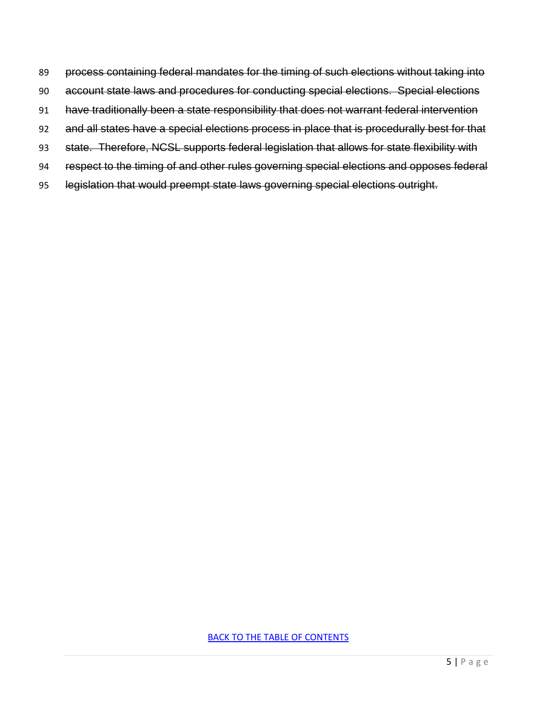- 89 process containing federal mandates for the timing of such elections without taking into
- 90 account state laws and procedures for conducting special elections. Special elections
- 91 have traditionally been a state responsibility that does not warrant federal intervention
- 92 and all states have a special elections process in place that is procedurally best for that
- 93 state. Therefore, NCSL supports federal legislation that allows for state flexibility with
- 94 respect to the timing of and other rules governing special elections and opposes federal
- 95 legislation that would preempt state laws governing special elections outright.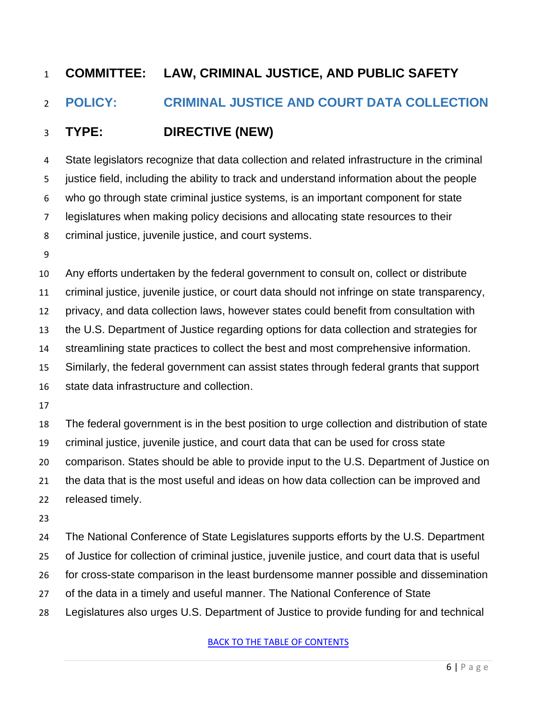## <span id="page-5-0"></span>**POLICY: CRIMINAL JUSTICE AND COURT DATA COLLECTION**

#### **TYPE: DIRECTIVE (NEW)**

 State legislators recognize that data collection and related infrastructure in the criminal justice field, including the ability to track and understand information about the people who go through state criminal justice systems, is an important component for state legislatures when making policy decisions and allocating state resources to their criminal justice, juvenile justice, and court systems.

 Any efforts undertaken by the federal government to consult on, collect or distribute criminal justice, juvenile justice, or court data should not infringe on state transparency, privacy, and data collection laws, however states could benefit from consultation with the U.S. Department of Justice regarding options for data collection and strategies for streamlining state practices to collect the best and most comprehensive information. Similarly, the federal government can assist states through federal grants that support state data infrastructure and collection.

 The federal government is in the best position to urge collection and distribution of state criminal justice, juvenile justice, and court data that can be used for cross state comparison. States should be able to provide input to the U.S. Department of Justice on the data that is the most useful and ideas on how data collection can be improved and released timely.

 The National Conference of State Legislatures supports efforts by the U.S. Department of Justice for collection of criminal justice, juvenile justice, and court data that is useful for cross-state comparison in the least burdensome manner possible and dissemination of the data in a timely and useful manner. The National Conference of State Legislatures also urges U.S. Department of Justice to provide funding for and technical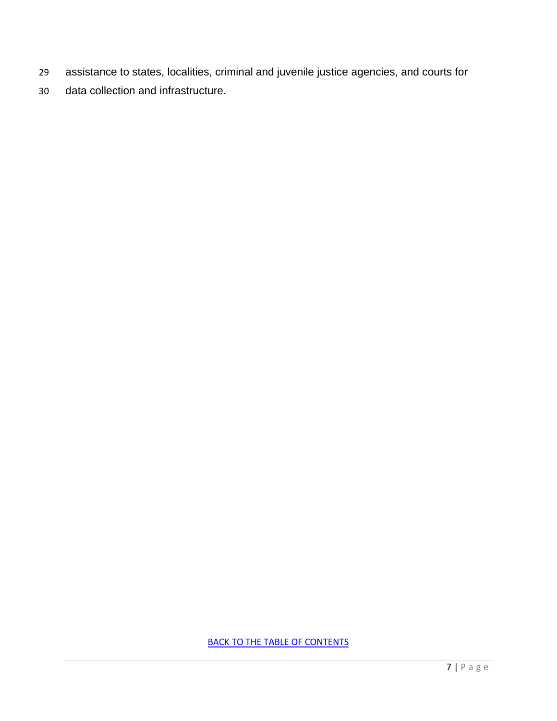- assistance to states, localities, criminal and juvenile justice agencies, and courts for
- data collection and infrastructure.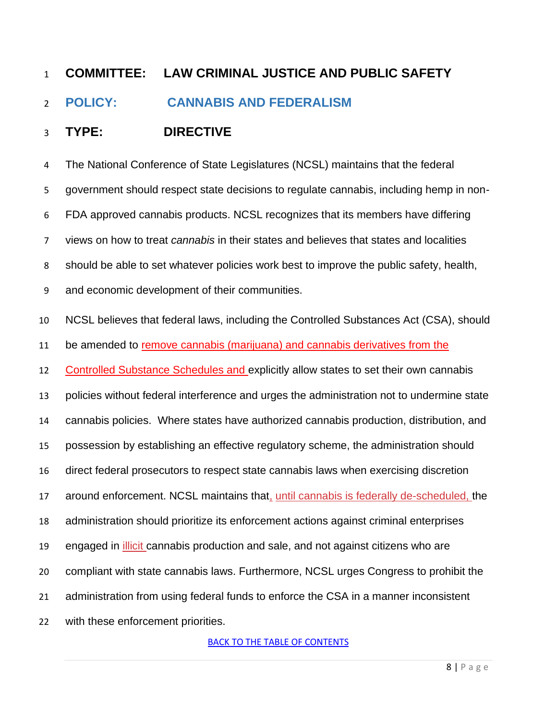#### <span id="page-7-0"></span>**POLICY: CANNABIS AND FEDERALISM**

#### **TYPE: DIRECTIVE**

 The National Conference of State Legislatures (NCSL) maintains that the federal government should respect state decisions to regulate cannabis, including hemp in non- FDA approved cannabis products. NCSL recognizes that its members have differing views on how to treat *cannabis* in their states and believes that states and localities should be able to set whatever policies work best to improve the public safety, health, and economic development of their communities. NCSL believes that federal laws, including the Controlled Substances Act (CSA), should be amended to remove cannabis (marijuana) and cannabis derivatives from the 12 Controlled Substance Schedules and explicitly allow states to set their own cannabis policies without federal interference and urges the administration not to undermine state cannabis policies. Where states have authorized cannabis production, distribution, and possession by establishing an effective regulatory scheme, the administration should direct federal prosecutors to respect state cannabis laws when exercising discretion around enforcement. NCSL maintains that, until cannabis is federally de-scheduled, the administration should prioritize its enforcement actions against criminal enterprises engaged in illicit cannabis production and sale, and not against citizens who are compliant with state cannabis laws. Furthermore, NCSL urges Congress to prohibit the administration from using federal funds to enforce the CSA in a manner inconsistent with these enforcement priorities.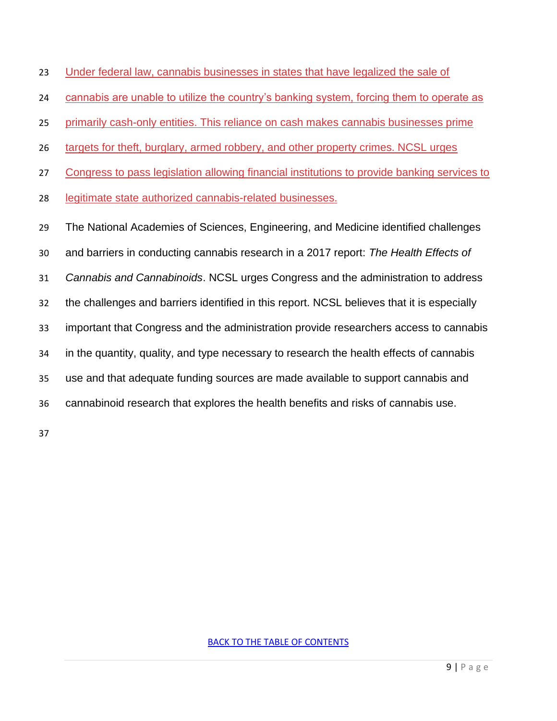- Under federal law, cannabis businesses in states that have legalized the sale of
- cannabis are unable to utilize the country's banking system, forcing them to operate as
- primarily cash-only entities. This reliance on cash makes cannabis businesses prime
- targets for theft, burglary, armed robbery, and other property crimes. NCSL urges
- Congress to pass legislation allowing financial institutions to provide banking services to
- legitimate state authorized cannabis-related businesses.
- The National Academies of Sciences, Engineering, and Medicine identified challenges
- and barriers in conducting cannabis research in a 2017 report: *The Health Effects of*
- *Cannabis and Cannabinoids*. NCSL urges Congress and the administration to address
- the challenges and barriers identified in this report. NCSL believes that it is especially
- important that Congress and the administration provide researchers access to cannabis
- in the quantity, quality, and type necessary to research the health effects of cannabis
- use and that adequate funding sources are made available to support cannabis and
- cannabinoid research that explores the health benefits and risks of cannabis use.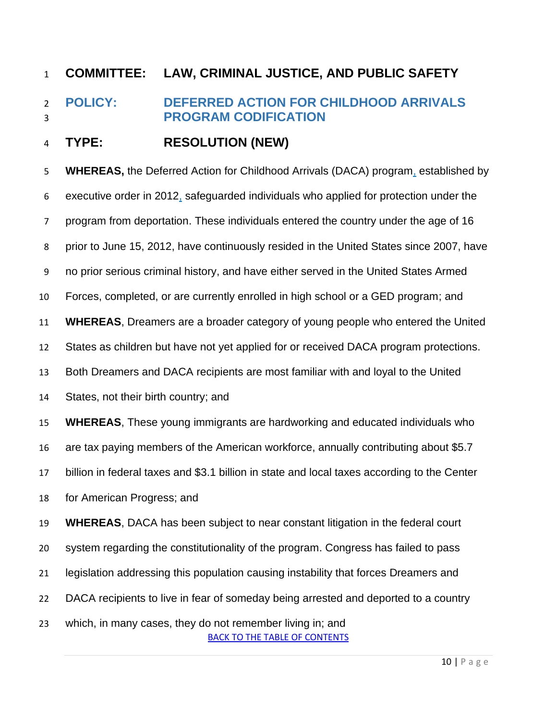<span id="page-9-0"></span> **POLICY: DEFERRED ACTION FOR CHILDHOOD ARRIVALS PROGRAM CODIFICATION**

#### **TYPE: RESOLUTION (NEW)**

[BACK TO THE TABLE OF CONTENTS](#page-0-1) **WHEREAS,** the Deferred Action for Childhood Arrivals (DACA) program, established by executive order in 2012, safeguarded individuals who applied for protection under the program from deportation. These individuals entered the country under the age of 16 prior to June 15, 2012, have continuously resided in the United States since 2007, have no prior serious criminal history, and have either served in the United States Armed Forces, completed, or are currently enrolled in high school or a GED program; and **WHEREAS**, Dreamers are a broader category of young people who entered the United States as children but have not yet applied for or received DACA program protections. Both Dreamers and DACA recipients are most familiar with and loyal to the United States, not their birth country; and **WHEREAS**, These young immigrants are hardworking and educated individuals who are tax paying members of the American workforce, annually contributing about \$5.7 billion in federal taxes and \$3.1 billion in state and local taxes according to the Center for American Progress; and **WHEREAS**, DACA has been subject to near constant litigation in the federal court system regarding the constitutionality of the program. Congress has failed to pass legislation addressing this population causing instability that forces Dreamers and 22 DACA recipients to live in fear of someday being arrested and deported to a country which, in many cases, they do not remember living in; and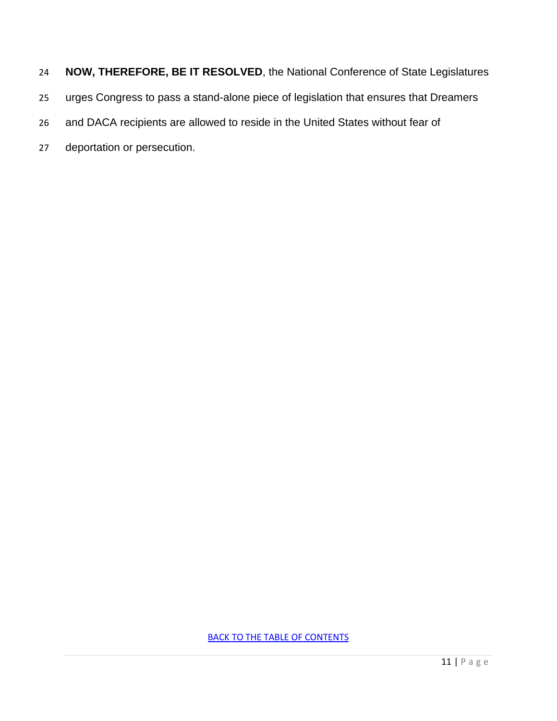- **NOW, THEREFORE, BE IT RESOLVED**, the National Conference of State Legislatures
- urges Congress to pass a stand-alone piece of legislation that ensures that Dreamers
- and DACA recipients are allowed to reside in the United States without fear of
- deportation or persecution.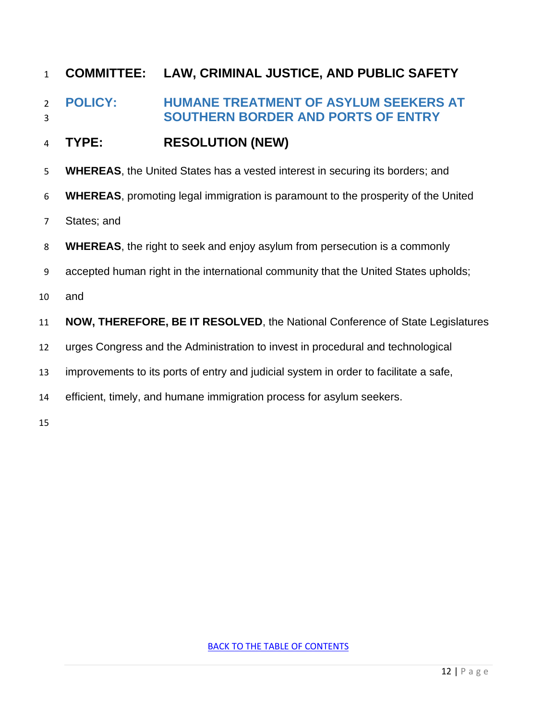<span id="page-11-0"></span> **POLICY: HUMANE TREATMENT OF ASYLUM SEEKERS AT SOUTHERN BORDER AND PORTS OF ENTRY**

#### **TYPE: RESOLUTION (NEW)**

- **WHEREAS**, the United States has a vested interest in securing its borders; and
- **WHEREAS**, promoting legal immigration is paramount to the prosperity of the United
- States; and
- **WHEREAS**, the right to seek and enjoy asylum from persecution is a commonly
- accepted human right in the international community that the United States upholds;
- and
- **NOW, THEREFORE, BE IT RESOLVED**, the National Conference of State Legislatures
- urges Congress and the Administration to invest in procedural and technological
- improvements to its ports of entry and judicial system in order to facilitate a safe,
- efficient, timely, and humane immigration process for asylum seekers.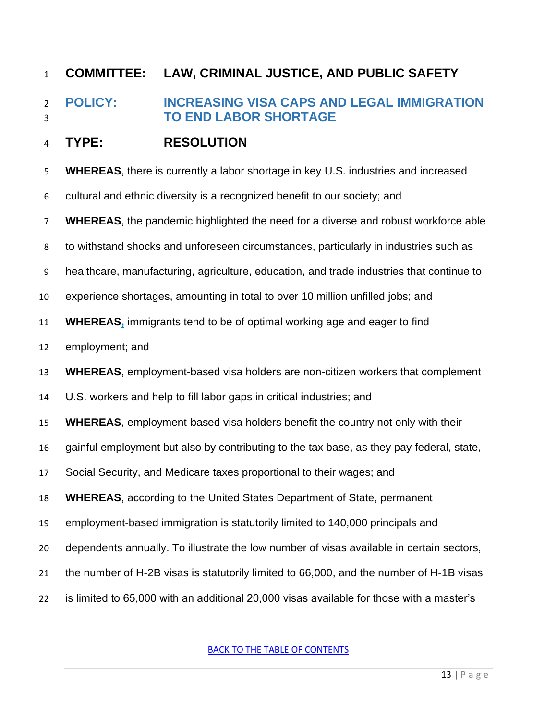<span id="page-12-0"></span> **POLICY: INCREASING VISA CAPS AND LEGAL IMMIGRATION TO END LABOR SHORTAGE**

#### **TYPE: RESOLUTION**

- **WHEREAS**, there is currently a labor shortage in key U.S. industries and increased
- cultural and ethnic diversity is a recognized benefit to our society; and
- **WHEREAS**, the pandemic highlighted the need for a diverse and robust workforce able
- to withstand shocks and unforeseen circumstances, particularly in industries such as
- healthcare, manufacturing, agriculture, education, and trade industries that continue to
- experience shortages, amounting in total to over 10 million unfilled jobs; and
- **WHEREAS,** immigrants tend to be of optimal working age and eager to find
- employment; and
- **WHEREAS**, employment-based visa holders are non-citizen workers that complement
- U.S. workers and help to fill labor gaps in critical industries; and
- **WHEREAS**, employment-based visa holders benefit the country not only with their
- gainful employment but also by contributing to the tax base, as they pay federal, state,
- Social Security, and Medicare taxes proportional to their wages; and
- **WHEREAS**, according to the United States Department of State, permanent
- employment-based immigration is statutorily limited to 140,000 principals and
- dependents annually. To illustrate the low number of visas available in certain sectors,
- the number of H-2B visas is statutorily limited to 66,000, and the number of H-1B visas
- is limited to 65,000 with an additional 20,000 visas available for those with a master's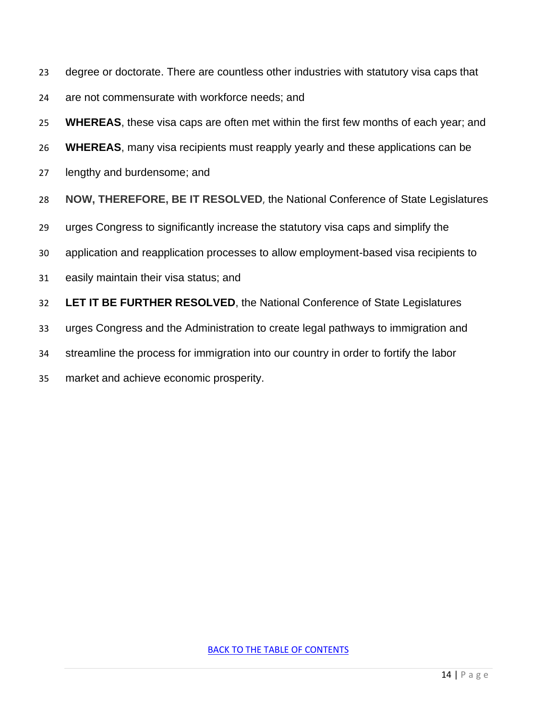- degree or doctorate. There are countless other industries with statutory visa caps that
- are not commensurate with workforce needs; and
- **WHEREAS**, these visa caps are often met within the first few months of each year; and
- **WHEREAS**, many visa recipients must reapply yearly and these applications can be
- lengthy and burdensome; and
- **NOW, THEREFORE, BE IT RESOLVED**, the National Conference of State Legislatures
- urges Congress to significantly increase the statutory visa caps and simplify the
- application and reapplication processes to allow employment-based visa recipients to
- easily maintain their visa status; and
- **LET IT BE FURTHER RESOLVED**, the National Conference of State Legislatures
- urges Congress and the Administration to create legal pathways to immigration and
- streamline the process for immigration into our country in order to fortify the labor
- market and achieve economic prosperity.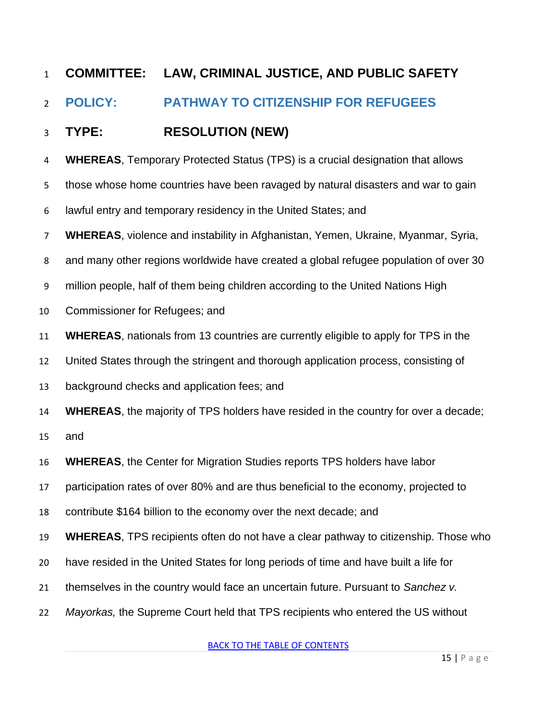<span id="page-14-0"></span>**POLICY: PATHWAY TO CITIZENSHIP FOR REFUGEES**

#### **TYPE: RESOLUTION (NEW)**

- **WHEREAS**, Temporary Protected Status (TPS) is a crucial designation that allows
- those whose home countries have been ravaged by natural disasters and war to gain
- lawful entry and temporary residency in the United States; and
- **WHEREAS**, violence and instability in Afghanistan, Yemen, Ukraine, Myanmar, Syria,
- and many other regions worldwide have created a global refugee population of over 30
- million people, half of them being children according to the United Nations High
- Commissioner for Refugees; and
- **WHEREAS**, nationals from 13 countries are currently eligible to apply for TPS in the
- United States through the stringent and thorough application process, consisting of
- background checks and application fees; and
- **WHEREAS**, the majority of TPS holders have resided in the country for over a decade;

and

- **WHEREAS**, the Center for Migration Studies reports TPS holders have labor
- participation rates of over 80% and are thus beneficial to the economy, projected to
- contribute \$164 billion to the economy over the next decade; and
- **WHEREAS**, TPS recipients often do not have a clear pathway to citizenship. Those who
- have resided in the United States for long periods of time and have built a life for
- themselves in the country would face an uncertain future. Pursuant to *Sanchez v.*
- *Mayorkas,* the Supreme Court held that TPS recipients who entered the US without